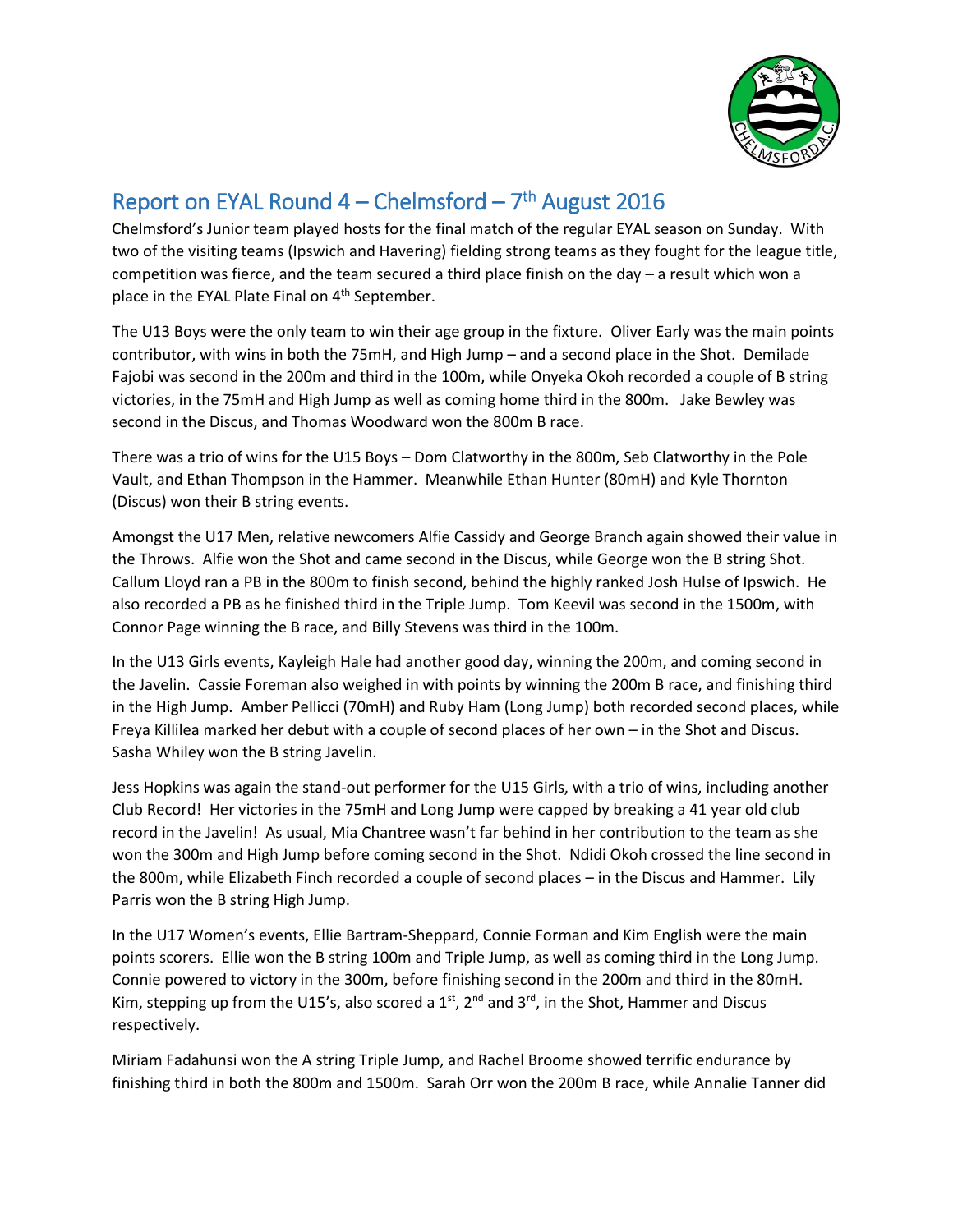

## Report on EYAL Round  $4$  – Chelmsford –  $7<sup>th</sup>$  August 2016

Chelmsford's Junior team played hosts for the final match of the regular EYAL season on Sunday. With two of the visiting teams (Ipswich and Havering) fielding strong teams as they fought for the league title, competition was fierce, and the team secured a third place finish on the day – a result which won a place in the EYAL Plate Final on 4<sup>th</sup> September.

The U13 Boys were the only team to win their age group in the fixture. Oliver Early was the main points contributor, with wins in both the 75mH, and High Jump – and a second place in the Shot. Demilade Fajobi was second in the 200m and third in the 100m, while Onyeka Okoh recorded a couple of B string victories, in the 75mH and High Jump as well as coming home third in the 800m. Jake Bewley was second in the Discus, and Thomas Woodward won the 800m B race.

There was a trio of wins for the U15 Boys – Dom Clatworthy in the 800m, Seb Clatworthy in the Pole Vault, and Ethan Thompson in the Hammer. Meanwhile Ethan Hunter (80mH) and Kyle Thornton (Discus) won their B string events.

Amongst the U17 Men, relative newcomers Alfie Cassidy and George Branch again showed their value in the Throws. Alfie won the Shot and came second in the Discus, while George won the B string Shot. Callum Lloyd ran a PB in the 800m to finish second, behind the highly ranked Josh Hulse of Ipswich. He also recorded a PB as he finished third in the Triple Jump. Tom Keevil was second in the 1500m, with Connor Page winning the B race, and Billy Stevens was third in the 100m.

In the U13 Girls events, Kayleigh Hale had another good day, winning the 200m, and coming second in the Javelin. Cassie Foreman also weighed in with points by winning the 200m B race, and finishing third in the High Jump. Amber Pellicci (70mH) and Ruby Ham (Long Jump) both recorded second places, while Freya Killilea marked her debut with a couple of second places of her own – in the Shot and Discus. Sasha Whiley won the B string Javelin.

Jess Hopkins was again the stand-out performer for the U15 Girls, with a trio of wins, including another Club Record! Her victories in the 75mH and Long Jump were capped by breaking a 41 year old club record in the Javelin! As usual, Mia Chantree wasn't far behind in her contribution to the team as she won the 300m and High Jump before coming second in the Shot. Ndidi Okoh crossed the line second in the 800m, while Elizabeth Finch recorded a couple of second places – in the Discus and Hammer. Lily Parris won the B string High Jump.

In the U17 Women's events, Ellie Bartram-Sheppard, Connie Forman and Kim English were the main points scorers. Ellie won the B string 100m and Triple Jump, as well as coming third in the Long Jump. Connie powered to victory in the 300m, before finishing second in the 200m and third in the 80mH. Kim, stepping up from the U15's, also scored a  $1<sup>st</sup>$ ,  $2<sup>nd</sup>$  and  $3<sup>rd</sup>$ , in the Shot, Hammer and Discus respectively.

Miriam Fadahunsi won the A string Triple Jump, and Rachel Broome showed terrific endurance by finishing third in both the 800m and 1500m. Sarah Orr won the 200m B race, while Annalie Tanner did